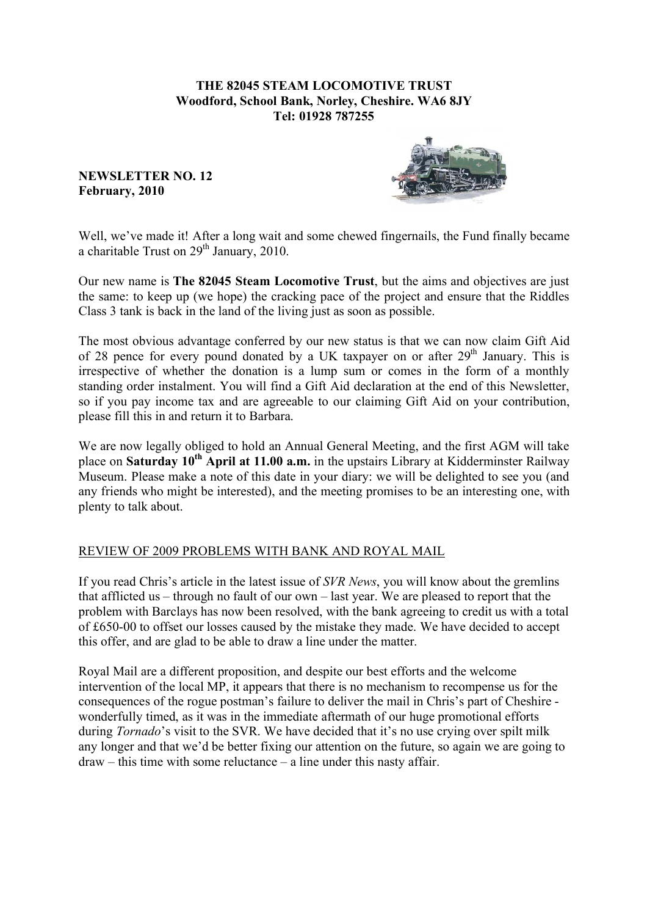### **THE 82045 STEAM LOCOMOTIVE TRUST Woodford, School Bank, Norley, Cheshire. WA6 8JY Tel: 01928 787255**

**NEWSLETTER NO. 12 February, 2010**



Well, we've made it! After a long wait and some chewed fingernails, the Fund finally became a charitable Trust on  $29<sup>th</sup>$  January, 2010.

Our new name is **The 82045 Steam Locomotive Trust**, but the aims and objectives are just the same: to keep up (we hope) the cracking pace of the project and ensure that the Riddles Class 3 tank is back in the land of the living just as soon as possible.

The most obvious advantage conferred by our new status is that we can now claim Gift Aid of 28 pence for every pound donated by a UK taxpayer on or after  $29<sup>th</sup>$  January. This is irrespective of whether the donation is a lump sum or comes in the form of a monthly standing order instalment. You will find a Gift Aid declaration at the end of this Newsletter, so if you pay income tax and are agreeable to our claiming Gift Aid on your contribution, please fill this in and return it to Barbara.

We are now legally obliged to hold an Annual General Meeting, and the first AGM will take place on **Saturday 10th April at 11.00 a.m.** in the upstairs Library at Kidderminster Railway Museum. Please make a note of this date in your diary: we will be delighted to see you (and any friends who might be interested), and the meeting promises to be an interesting one, with plenty to talk about.

# REVIEW OF 2009 PROBLEMS WITH BANK AND ROYAL MAIL

If you read Chris's article in the latest issue of *SVR News*, you will know about the gremlins that afflicted us – through no fault of our own – last year. We are pleased to report that the problem with Barclays has now been resolved, with the bank agreeing to credit us with a total of £650-00 to offset our losses caused by the mistake they made. We have decided to accept this offer, and are glad to be able to draw a line under the matter.

Royal Mail are a different proposition, and despite our best efforts and the welcome intervention of the local MP, it appears that there is no mechanism to recompense us for the consequences of the rogue postman's failure to deliver the mail in Chris's part of Cheshire wonderfully timed, as it was in the immediate aftermath of our huge promotional efforts during *Tornado*'s visit to the SVR. We have decided that it's no use crying over spilt milk any longer and that we'd be better fixing our attention on the future, so again we are going to draw – this time with some reluctance – a line under this nasty affair.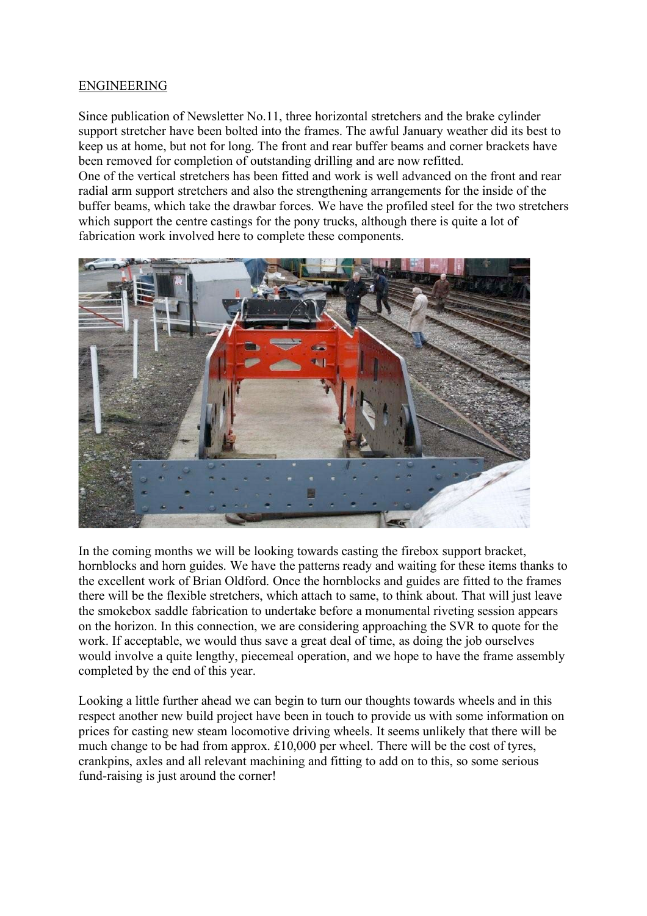### ENGINEERING

Since publication of Newsletter No.11, three horizontal stretchers and the brake cylinder support stretcher have been bolted into the frames. The awful January weather did its best to keep us at home, but not for long. The front and rear buffer beams and corner brackets have been removed for completion of outstanding drilling and are now refitted. One of the vertical stretchers has been fitted and work is well advanced on the front and rear radial arm support stretchers and also the strengthening arrangements for the inside of the buffer beams, which take the drawbar forces. We have the profiled steel for the two stretchers which support the centre castings for the pony trucks, although there is quite a lot of fabrication work involved here to complete these components.



In the coming months we will be looking towards casting the firebox support bracket, hornblocks and horn guides. We have the patterns ready and waiting for these items thanks to the excellent work of Brian Oldford. Once the hornblocks and guides are fitted to the frames there will be the flexible stretchers, which attach to same, to think about. That will just leave the smokebox saddle fabrication to undertake before a monumental riveting session appears on the horizon. In this connection, we are considering approaching the SVR to quote for the work. If acceptable, we would thus save a great deal of time, as doing the job ourselves would involve a quite lengthy, piecemeal operation, and we hope to have the frame assembly completed by the end of this year.

Looking a little further ahead we can begin to turn our thoughts towards wheels and in this respect another new build project have been in touch to provide us with some information on prices for casting new steam locomotive driving wheels. It seems unlikely that there will be much change to be had from approx. £10,000 per wheel. There will be the cost of tyres, crankpins, axles and all relevant machining and fitting to add on to this, so some serious fund-raising is just around the corner!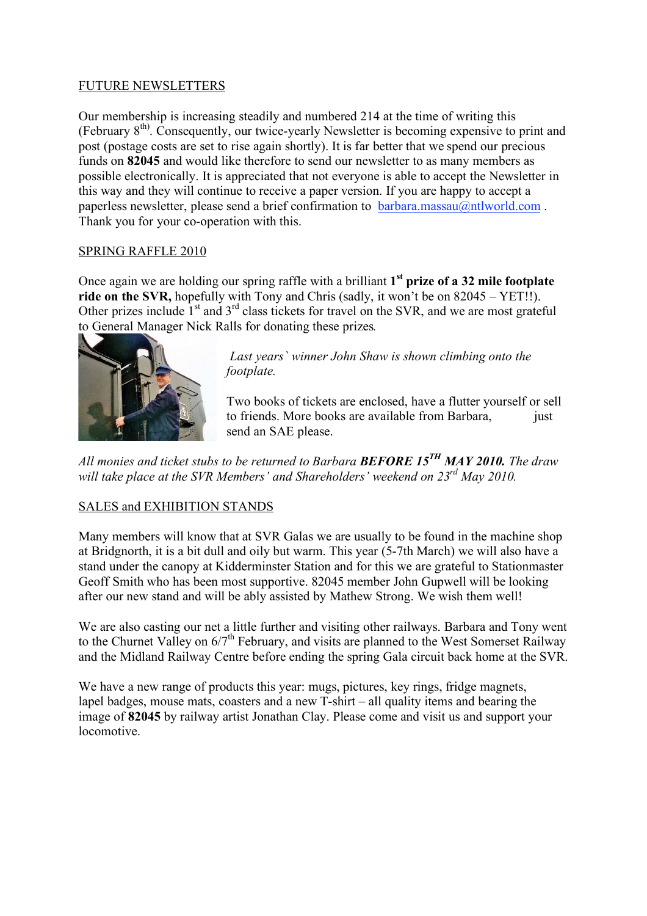# FUTURE NEWSLETTERS

Our membership is increasing steadily and numbered 214 at the time of writing this (February  $8<sup>th</sup>$ ). Consequently, our twice-yearly Newsletter is becoming expensive to print and post (postage costs are set to rise again shortly). It is far better that we spend our precious funds on **82045** and would like therefore to send our newsletter to as many members as possible electronically. It is appreciated that not everyone is able to accept the Newsletter in this way and they will continue to receive a paper version. If you are happy to accept a paperless newsletter, please send a brief confirmation to  $bar{a}$ . massau $\omega$ ntlworld.com. Thank you for your co-operation with this.

# SPRING RAFFLE 2010

Once again we are holding our spring raffle with a brilliant **1st prize of a 32 mile footplate ride on the SVR,** hopefully with Tony and Chris (sadly, it won't be on 82045 – YET!!). Other prizes include  $1<sup>st</sup>$  and  $3<sup>rd</sup>$  class tickets for travel on the SVR, and we are most grateful to General Manager Nick Ralls for donating these prizes*.*



 *Last years` winner John Shaw is shown climbing onto the footplate.*

Two books of tickets are enclosed, have a flutter yourself or sell to friends. More books are available from Barbara, just send an SAE please.

*All monies and ticket stubs to be returned to Barbara BEFORE 15TH MAY 2010. The draw will take place at the SVR Members' and Shareholders' weekend on 23rd May 2010.*

# SALES and EXHIBITION STANDS

Many members will know that at SVR Galas we are usually to be found in the machine shop at Bridgnorth, it is a bit dull and oily but warm. This year (5-7th March) we will also have a stand under the canopy at Kidderminster Station and for this we are grateful to Stationmaster Geoff Smith who has been most supportive. 82045 member John Gupwell will be looking after our new stand and will be ably assisted by Mathew Strong. We wish them well!

We are also casting our net a little further and visiting other railways. Barbara and Tony went to the Churnet Valley on  $6/7^{\text{th}}$  February, and visits are planned to the West Somerset Railway and the Midland Railway Centre before ending the spring Gala circuit back home at the SVR.

We have a new range of products this year: mugs, pictures, key rings, fridge magnets, lapel badges, mouse mats, coasters and a new T-shirt – all quality items and bearing the image of **82045** by railway artist Jonathan Clay. Please come and visit us and support your locomotive.